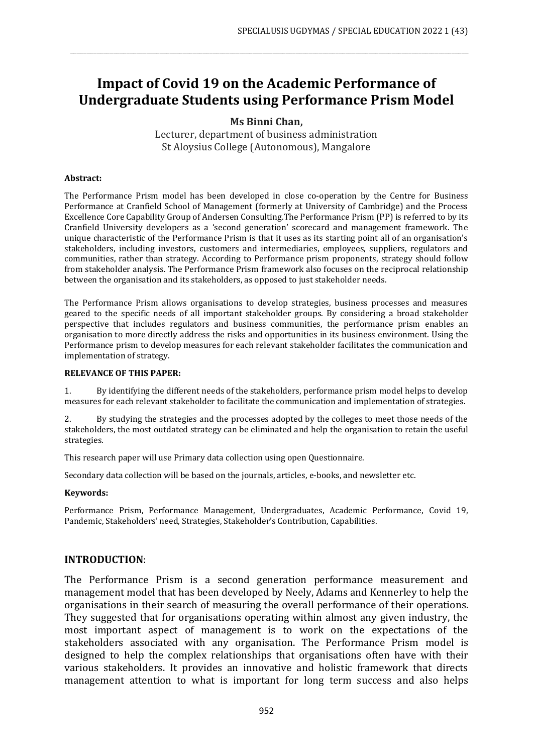# **Impact of Covid 19 on the Academic Performance of Undergraduate Students using Performance Prism Model**

\_\_\_\_\_\_\_\_\_\_\_\_\_\_\_\_\_\_\_\_\_\_\_\_\_\_\_\_\_\_\_\_\_\_\_\_\_\_\_\_\_\_\_\_\_\_\_\_\_\_\_\_\_\_\_\_\_\_\_\_\_\_\_\_\_\_\_\_\_\_\_\_\_\_\_\_\_\_\_\_\_\_\_\_\_\_\_\_\_\_\_\_\_\_\_\_\_\_\_\_\_\_\_\_\_\_\_\_\_\_\_\_\_\_\_\_\_\_\_\_

**Ms Binni Chan,**

Lecturer, department of business administration St Aloysius College (Autonomous), Mangalore

#### **Abstract:**

The Performance Prism model has been developed in close co-operation by the Centre for Business Performance at Cranfield School of Management (formerly at University of Cambridge) and the Process Excellence Core Capability Group of Andersen Consulting.The Performance Prism (PP) is referred to by its Cranfield University developers as a 'second generation' scorecard and management framework. The unique characteristic of the Performance Prism is that it uses as its starting point all of an organisation's stakeholders, including investors, customers and intermediaries, employees, suppliers, regulators and communities, rather than strategy. According to Performance prism proponents, strategy should follow from stakeholder analysis. The Performance Prism framework also focuses on the reciprocal relationship between the organisation and its stakeholders, as opposed to just stakeholder needs.

The Performance Prism allows organisations to develop strategies, business processes and measures geared to the specific needs of all important stakeholder groups. By considering a broad stakeholder perspective that includes regulators and business communities, the performance prism enables an organisation to more directly address the risks and opportunities in its business environment. Using the Performance prism to develop measures for each relevant stakeholder facilitates the communication and implementation of strategy.

#### **RELEVANCE OF THIS PAPER:**

1. By identifying the different needs of the stakeholders, performance prism model helps to develop measures for each relevant stakeholder to facilitate the communication and implementation of strategies.

2. By studying the strategies and the processes adopted by the colleges to meet those needs of the stakeholders, the most outdated strategy can be eliminated and help the organisation to retain the useful strategies.

This research paper will use Primary data collection using open Questionnaire.

Secondary data collection will be based on the journals, articles, e-books, and newsletter etc.

#### **Keywords:**

Performance Prism, Performance Management, Undergraduates, Academic Performance, Covid 19, Pandemic, Stakeholders' need, Strategies, Stakeholder's Contribution, Capabilities.

#### **INTRODUCTION**:

The Performance Prism is a second generation performance measurement and management model that has been developed by Neely, Adams and Kennerley to help the organisations in their search of measuring the overall performance of their operations. They suggested that for organisations operating within almost any given industry, the most important aspect of management is to work on the expectations of the stakeholders associated with any organisation. The Performance Prism model is designed to help the complex relationships that organisations often have with their various stakeholders. It provides an innovative and holistic framework that directs management attention to what is important for long term success and also helps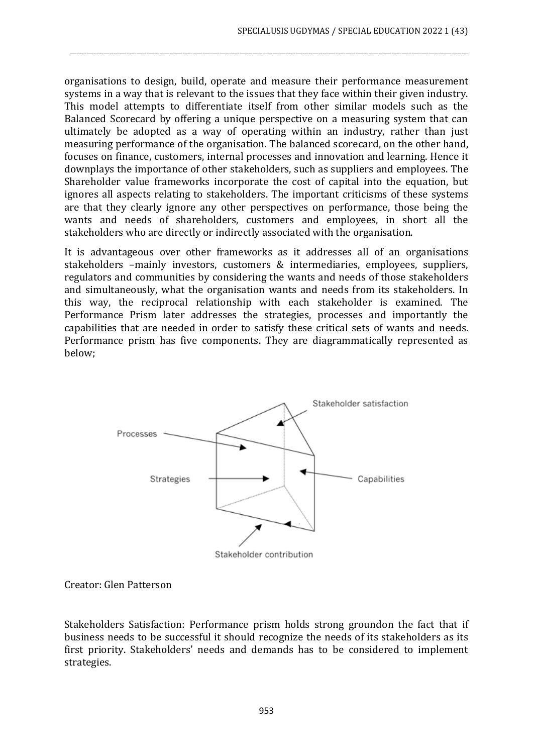organisations to design, build, operate and measure their performance measurement systems in a way that is relevant to the issues that they face within their given industry. This model attempts to differentiate itself from other similar models such as the Balanced Scorecard by offering a unique perspective on a measuring system that can ultimately be adopted as a way of operating within an industry, rather than just measuring performance of the organisation. The balanced scorecard, on the other hand, focuses on finance, customers, internal processes and innovation and learning. Hence it downplays the importance of other stakeholders, such as suppliers and employees. The Shareholder value frameworks incorporate the cost of capital into the equation, but ignores all aspects relating to stakeholders. The important criticisms of these systems are that they clearly ignore any other perspectives on performance, those being the wants and needs of shareholders, customers and employees, in short all the stakeholders who are directly or indirectly associated with the organisation.

\_\_\_\_\_\_\_\_\_\_\_\_\_\_\_\_\_\_\_\_\_\_\_\_\_\_\_\_\_\_\_\_\_\_\_\_\_\_\_\_\_\_\_\_\_\_\_\_\_\_\_\_\_\_\_\_\_\_\_\_\_\_\_\_\_\_\_\_\_\_\_\_\_\_\_\_\_\_\_\_\_\_\_\_\_\_\_\_\_\_\_\_\_\_\_\_\_\_\_\_\_\_\_\_\_\_\_\_\_\_\_\_\_\_\_\_\_\_\_\_

It is advantageous over other frameworks as it addresses all of an organisations stakeholders –mainly investors, customers & intermediaries, employees, suppliers, regulators and communities by considering the wants and needs of those stakeholders and simultaneously, what the organisation wants and needs from its stakeholders. In this way, the reciprocal relationship with each stakeholder is examined. The Performance Prism later addresses the strategies, processes and importantly the capabilities that are needed in order to satisfy these critical sets of wants and needs. Performance prism has five components. They are diagrammatically represented as below;



Creator: Glen Patterson

Stakeholders Satisfaction: Performance prism holds strong groundon the fact that if business needs to be successful it should recognize the needs of its stakeholders as its first priority. Stakeholders' needs and demands has to be considered to implement strategies.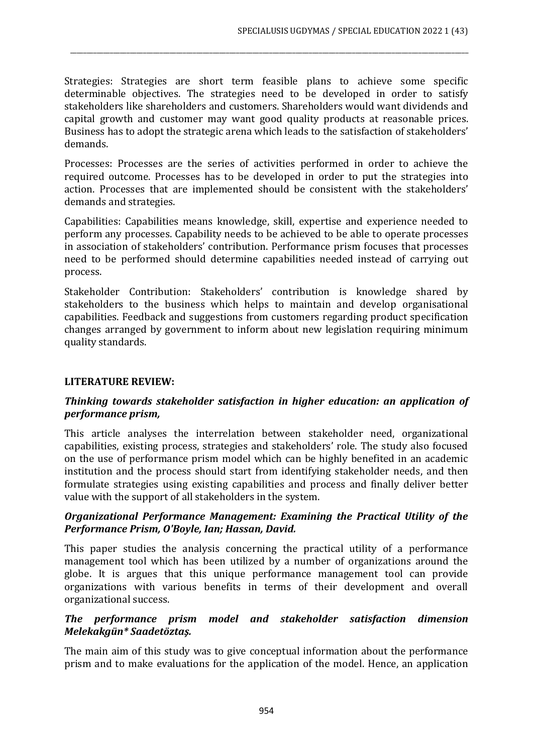Strategies: Strategies are short term feasible plans to achieve some specific determinable objectives. The strategies need to be developed in order to satisfy stakeholders like shareholders and customers. Shareholders would want dividends and capital growth and customer may want good quality products at reasonable prices. Business has to adopt the strategic arena which leads to the satisfaction of stakeholders' demands.

\_\_\_\_\_\_\_\_\_\_\_\_\_\_\_\_\_\_\_\_\_\_\_\_\_\_\_\_\_\_\_\_\_\_\_\_\_\_\_\_\_\_\_\_\_\_\_\_\_\_\_\_\_\_\_\_\_\_\_\_\_\_\_\_\_\_\_\_\_\_\_\_\_\_\_\_\_\_\_\_\_\_\_\_\_\_\_\_\_\_\_\_\_\_\_\_\_\_\_\_\_\_\_\_\_\_\_\_\_\_\_\_\_\_\_\_\_\_\_\_

Processes: Processes are the series of activities performed in order to achieve the required outcome. Processes has to be developed in order to put the strategies into action. Processes that are implemented should be consistent with the stakeholders' demands and strategies.

Capabilities: Capabilities means knowledge, skill, expertise and experience needed to perform any processes. Capability needs to be achieved to be able to operate processes in association of stakeholders' contribution. Performance prism focuses that processes need to be performed should determine capabilities needed instead of carrying out process.

Stakeholder Contribution: Stakeholders' contribution is knowledge shared by stakeholders to the business which helps to maintain and develop organisational capabilities. Feedback and suggestions from customers regarding product specification changes arranged by government to inform about new legislation requiring minimum quality standards.

# **LITERATURE REVIEW:**

# *Thinking towards stakeholder satisfaction in higher education: an application of performance prism,*

This article analyses the interrelation between stakeholder need, organizational capabilities, existing process, strategies and stakeholders' role. The study also focused on the use of performance prism model which can be highly benefited in an academic institution and the process should start from identifying stakeholder needs, and then formulate strategies using existing capabilities and process and finally deliver better value with the support of all stakeholders in the system.

#### *Organizational Performance Management: Examining the Practical Utility of the Performance Prism, O'Boyle, Ian; Hassan, David.*

This paper studies the analysis concerning the practical utility of a performance management tool which has been utilized by a number of organizations around the globe. It is argues that this unique performance management tool can provide organizations with various benefits in terms of their development and overall organizational success.

# *The performance prism model and stakeholder satisfaction dimension Melekakgün\* Saadetöztaş.*

The main aim of this study was to give conceptual information about the performance prism and to make evaluations for the application of the model. Hence, an application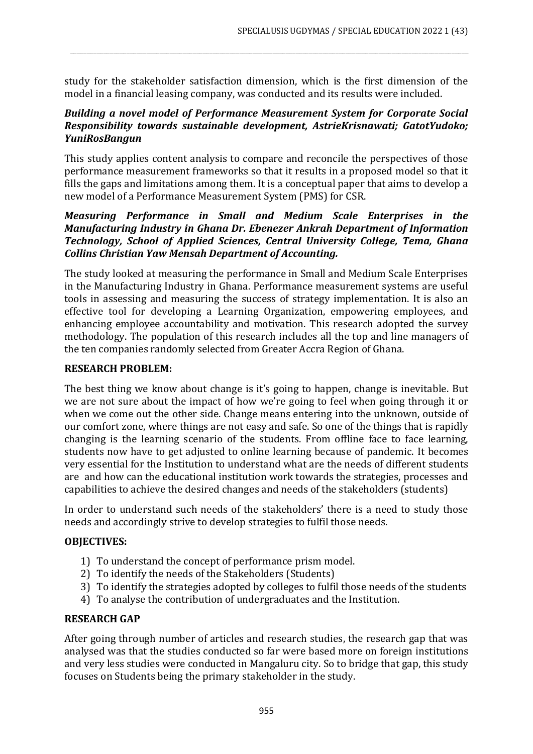study for the stakeholder satisfaction dimension, which is the first dimension of the model in a financial leasing company, was conducted and its results were included.

\_\_\_\_\_\_\_\_\_\_\_\_\_\_\_\_\_\_\_\_\_\_\_\_\_\_\_\_\_\_\_\_\_\_\_\_\_\_\_\_\_\_\_\_\_\_\_\_\_\_\_\_\_\_\_\_\_\_\_\_\_\_\_\_\_\_\_\_\_\_\_\_\_\_\_\_\_\_\_\_\_\_\_\_\_\_\_\_\_\_\_\_\_\_\_\_\_\_\_\_\_\_\_\_\_\_\_\_\_\_\_\_\_\_\_\_\_\_\_\_

# *Building a novel model of Performance Measurement System for Corporate Social Responsibility towards sustainable development, AstrieKrisnawati; GatotYudoko; YuniRosBangun*

This study applies content analysis to compare and reconcile the perspectives of those performance measurement frameworks so that it results in a proposed model so that it fills the gaps and limitations among them. It is a conceptual paper that aims to develop a new model of a Performance Measurement System (PMS) for CSR.

## *Measuring Performance in Small and Medium Scale Enterprises in the Manufacturing Industry in Ghana Dr. Ebenezer Ankrah Department of Information Technology, School of Applied Sciences, Central University College, Tema, Ghana Collins Christian Yaw Mensah Department of Accounting.*

The study looked at measuring the performance in Small and Medium Scale Enterprises in the Manufacturing Industry in Ghana. Performance measurement systems are useful tools in assessing and measuring the success of strategy implementation. It is also an effective tool for developing a Learning Organization, empowering employees, and enhancing employee accountability and motivation. This research adopted the survey methodology. The population of this research includes all the top and line managers of the ten companies randomly selected from Greater Accra Region of Ghana.

# **RESEARCH PROBLEM:**

The best thing we know about change is it's going to happen, change is inevitable. But we are not sure about the impact of how we're going to feel when going through it or when we come out the other side. Change means entering into the unknown, outside of our comfort zone, where things are not easy and safe. So one of the things that is rapidly changing is the learning scenario of the students. From offline face to face learning, students now have to get adjusted to online learning because of pandemic. It becomes very essential for the Institution to understand what are the needs of different students are and how can the educational institution work towards the strategies, processes and capabilities to achieve the desired changes and needs of the stakeholders (students)

In order to understand such needs of the stakeholders' there is a need to study those needs and accordingly strive to develop strategies to fulfil those needs.

## **OBJECTIVES:**

- 1) To understand the concept of performance prism model.
- 2) To identify the needs of the Stakeholders (Students)
- 3) To identify the strategies adopted by colleges to fulfil those needs of the students
- 4) To analyse the contribution of undergraduates and the Institution.

## **RESEARCH GAP**

After going through number of articles and research studies, the research gap that was analysed was that the studies conducted so far were based more on foreign institutions and very less studies were conducted in Mangaluru city. So to bridge that gap, this study focuses on Students being the primary stakeholder in the study.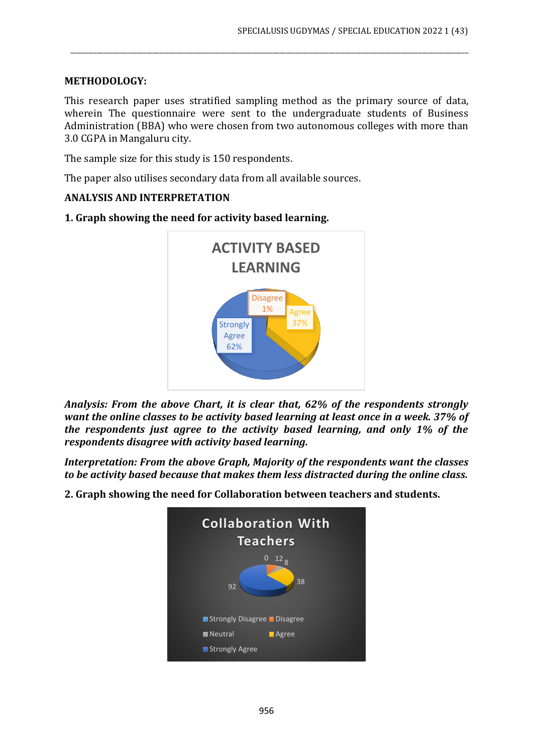# **METHODOLOGY:**

This research paper uses stratified sampling method as the primary source of data, wherein The questionnaire were sent to the undergraduate students of Business Administration (BBA) who were chosen from two autonomous colleges with more than 3.0 CGPA in Mangaluru city.

\_\_\_\_\_\_\_\_\_\_\_\_\_\_\_\_\_\_\_\_\_\_\_\_\_\_\_\_\_\_\_\_\_\_\_\_\_\_\_\_\_\_\_\_\_\_\_\_\_\_\_\_\_\_\_\_\_\_\_\_\_\_\_\_\_\_\_\_\_\_\_\_\_\_\_\_\_\_\_\_\_\_\_\_\_\_\_\_\_\_\_\_\_\_\_\_\_\_\_\_\_\_\_\_\_\_\_\_\_\_\_\_\_\_\_\_\_\_\_\_

The sample size for this study is 150 respondents.

The paper also utilises secondary data from all available sources.

## **ANALYSIS AND INTERPRETATION**

Disagree<br>1% Agree **1%** Strongly Agree 62% **ACTIVITY BASED LEARNING**

**1. Graph showing the need for activity based learning.**

*Analysis: From the above Chart, it is clear that, 62% of the respondents strongly want the online classes to be activity based learning at least once in a week. 37% of the respondents just agree to the activity based learning, and only 1% of the respondents disagree with activity based learning.*

*Interpretation: From the above Graph, Majority of the respondents want the classes to be activity based because that makes them less distracted during the online class.*

**2. Graph showing the need for Collaboration between teachers and students.**

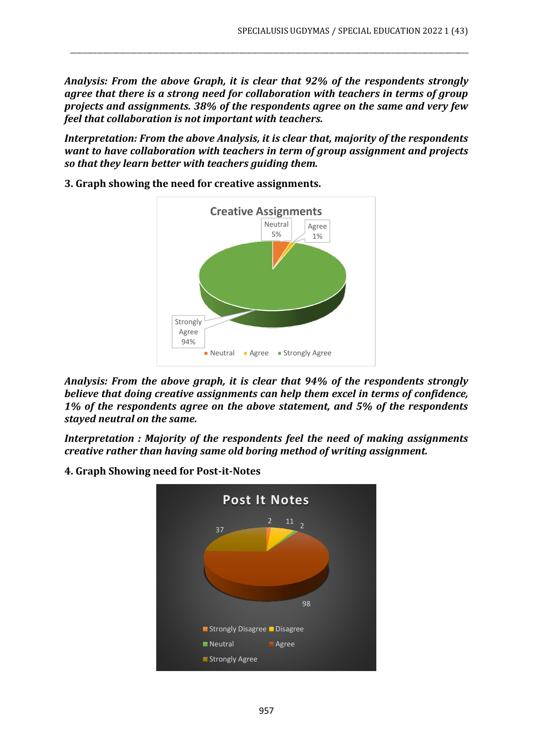*Analysis: From the above Graph, it is clear that 92% of the respondents strongly agree that there is a strong need for collaboration with teachers in terms of group projects and assignments. 38% of the respondents agree on the same and very few feel that collaboration is not important with teachers.*

\_\_\_\_\_\_\_\_\_\_\_\_\_\_\_\_\_\_\_\_\_\_\_\_\_\_\_\_\_\_\_\_\_\_\_\_\_\_\_\_\_\_\_\_\_\_\_\_\_\_\_\_\_\_\_\_\_\_\_\_\_\_\_\_\_\_\_\_\_\_\_\_\_\_\_\_\_\_\_\_\_\_\_\_\_\_\_\_\_\_\_\_\_\_\_\_\_\_\_\_\_\_\_\_\_\_\_\_\_\_\_\_\_\_\_\_\_\_\_\_

*Interpretation: From the above Analysis, it is clear that, majority of the respondents want to have collaboration with teachers in term of group assignment and projects so that they learn better with teachers guiding them.*



**3. Graph showing the need for creative assignments.**

*Analysis: From the above graph, it is clear that 94% of the respondents strongly believe that doing creative assignments can help them excel in terms of confidence, 1% of the respondents agree on the above statement, and 5% of the respondents stayed neutral on the same.*

*Interpretation : Majority of the respondents feel the need of making assignments creative rather than having same old boring method of writing assignment.* 

**4. Graph Showing need for Post-it-Notes**

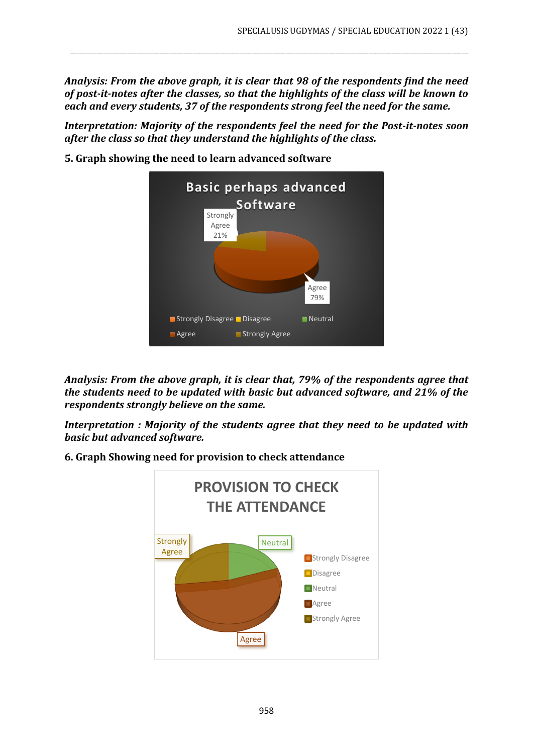*Analysis: From the above graph, it is clear that 98 of the respondents find the need of post-it-notes after the classes, so that the highlights of the class will be known to each and every students, 37 of the respondents strong feel the need for the same.*

\_\_\_\_\_\_\_\_\_\_\_\_\_\_\_\_\_\_\_\_\_\_\_\_\_\_\_\_\_\_\_\_\_\_\_\_\_\_\_\_\_\_\_\_\_\_\_\_\_\_\_\_\_\_\_\_\_\_\_\_\_\_\_\_\_\_\_\_\_\_\_\_\_\_\_\_\_\_\_\_\_\_\_\_\_\_\_\_\_\_\_\_\_\_\_\_\_\_\_\_\_\_\_\_\_\_\_\_\_\_\_\_\_\_\_\_\_\_\_\_

*Interpretation: Majority of the respondents feel the need for the Post-it-notes soon after the class so that they understand the highlights of the class.*



**5. Graph showing the need to learn advanced software**

*Analysis: From the above graph, it is clear that, 79% of the respondents agree that the students need to be updated with basic but advanced software, and 21% of the respondents strongly believe on the same.*

*Interpretation : Majority of the students agree that they need to be updated with basic but advanced software.*



**6. Graph Showing need for provision to check attendance**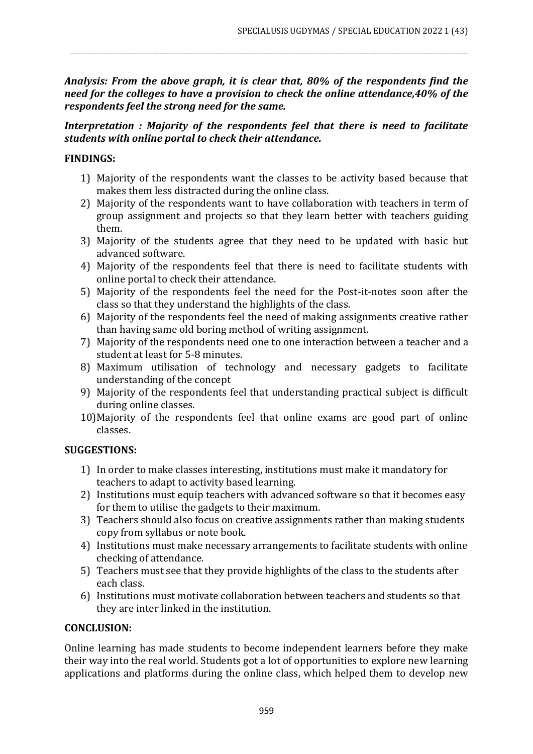*Analysis: From the above graph, it is clear that, 80% of the respondents find the need for the colleges to have a provision to check the online attendance,40% of the respondents feel the strong need for the same.*

\_\_\_\_\_\_\_\_\_\_\_\_\_\_\_\_\_\_\_\_\_\_\_\_\_\_\_\_\_\_\_\_\_\_\_\_\_\_\_\_\_\_\_\_\_\_\_\_\_\_\_\_\_\_\_\_\_\_\_\_\_\_\_\_\_\_\_\_\_\_\_\_\_\_\_\_\_\_\_\_\_\_\_\_\_\_\_\_\_\_\_\_\_\_\_\_\_\_\_\_\_\_\_\_\_\_\_\_\_\_\_\_\_\_\_\_\_\_\_\_

# *Interpretation : Majority of the respondents feel that there is need to facilitate students with online portal to check their attendance.*

# **FINDINGS:**

- 1) Majority of the respondents want the classes to be activity based because that makes them less distracted during the online class.
- 2) Majority of the respondents want to have collaboration with teachers in term of group assignment and projects so that they learn better with teachers guiding them.
- 3) Majority of the students agree that they need to be updated with basic but advanced software.
- 4) Majority of the respondents feel that there is need to facilitate students with online portal to check their attendance.
- 5) Majority of the respondents feel the need for the Post-it-notes soon after the class so that they understand the highlights of the class.
- 6) Majority of the respondents feel the need of making assignments creative rather than having same old boring method of writing assignment.
- 7) Majority of the respondents need one to one interaction between a teacher and a student at least for 5-8 minutes.
- 8) Maximum utilisation of technology and necessary gadgets to facilitate understanding of the concept
- 9) Majority of the respondents feel that understanding practical subject is difficult during online classes.
- 10)Majority of the respondents feel that online exams are good part of online classes.

# **SUGGESTIONS:**

- 1) In order to make classes interesting, institutions must make it mandatory for teachers to adapt to activity based learning.
- 2) Institutions must equip teachers with advanced software so that it becomes easy for them to utilise the gadgets to their maximum.
- 3) Teachers should also focus on creative assignments rather than making students copy from syllabus or note book.
- 4) Institutions must make necessary arrangements to facilitate students with online checking of attendance.
- 5) Teachers must see that they provide highlights of the class to the students after each class.
- 6) Institutions must motivate collaboration between teachers and students so that they are inter linked in the institution.

# **CONCLUSION:**

Online learning has made students to become independent learners before they make their way into the real world. Students got a lot of opportunities to explore new learning applications and platforms during the online class, which helped them to develop new